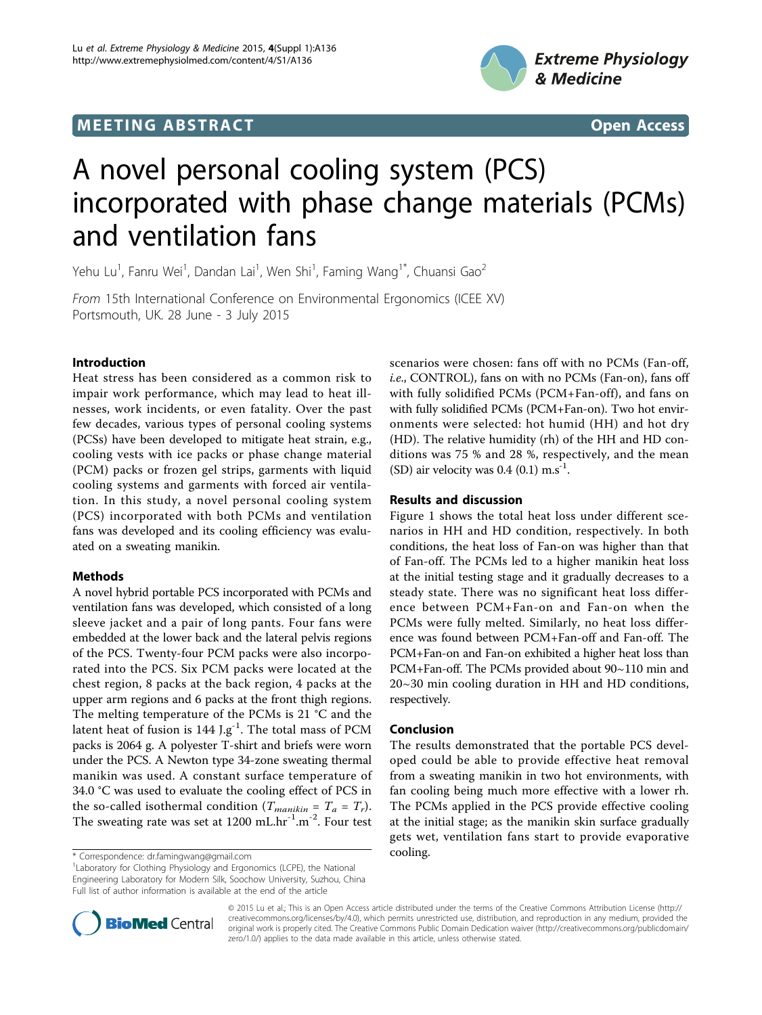## **MEETING ABSTRACT CONSUMING ABSTRACT**



# A novel personal cooling system (PCS) incorporated with phase change materials (PCMs) and ventilation fans

Yehu Lu<sup>1</sup>, Fanru Wei<sup>1</sup>, Dandan Lai<sup>1</sup>, Wen Shi<sup>1</sup>, Faming Wang<sup>1\*</sup>, Chuansi Gao<sup>2</sup>

From 15th International Conference on Environmental Ergonomics (ICEE XV) Portsmouth, UK. 28 June - 3 July 2015

### Introduction

Heat stress has been considered as a common risk to impair work performance, which may lead to heat illnesses, work incidents, or even fatality. Over the past few decades, various types of personal cooling systems (PCSs) have been developed to mitigate heat strain, e.g., cooling vests with ice packs or phase change material (PCM) packs or frozen gel strips, garments with liquid cooling systems and garments with forced air ventilation. In this study, a novel personal cooling system (PCS) incorporated with both PCMs and ventilation fans was developed and its cooling efficiency was evaluated on a sweating manikin.

#### Methods

A novel hybrid portable PCS incorporated with PCMs and ventilation fans was developed, which consisted of a long sleeve jacket and a pair of long pants. Four fans were embedded at the lower back and the lateral pelvis regions of the PCS. Twenty-four PCM packs were also incorporated into the PCS. Six PCM packs were located at the chest region, 8 packs at the back region, 4 packs at the upper arm regions and 6 packs at the front thigh regions. The melting temperature of the PCMs is 21 °C and the latent heat of fusion is  $144$  J.g<sup>-1</sup>. The total mass of PCM packs is 2064 g. A polyester T-shirt and briefs were worn under the PCS. A Newton type 34-zone sweating thermal manikin was used. A constant surface temperature of 34.0 °C was used to evaluate the cooling effect of PCS in the so-called isothermal condition ( $T_{manikin} = T_a = T_r$ ). The sweating rate was set at  $1200$  mL.hr<sup>-1</sup>.m<sup>-2</sup>. Four test

scenarios were chosen: fans off with no PCMs (Fan-off, i.e., CONTROL), fans on with no PCMs (Fan-on), fans off with fully solidified PCMs (PCM+Fan-off), and fans on with fully solidified PCMs (PCM+Fan-on). Two hot environments were selected: hot humid (HH) and hot dry (HD). The relative humidity (rh) of the HH and HD conditions was 75 % and 28 %, respectively, and the mean (SD) air velocity was  $0.4$  (0.1)  $\text{m.s}^{-1}$ .

### Results and discussion

Figure [1](#page-1-0) shows the total heat loss under different scenarios in HH and HD condition, respectively. In both conditions, the heat loss of Fan-on was higher than that of Fan-off. The PCMs led to a higher manikin heat loss at the initial testing stage and it gradually decreases to a steady state. There was no significant heat loss difference between PCM+Fan-on and Fan-on when the PCMs were fully melted. Similarly, no heat loss difference was found between PCM+Fan-off and Fan-off. The PCM+Fan-on and Fan-on exhibited a higher heat loss than PCM+Fan-off. The PCMs provided about 90~110 min and 20~30 min cooling duration in HH and HD conditions, respectively.

#### Conclusion

The results demonstrated that the portable PCS developed could be able to provide effective heat removal from a sweating manikin in two hot environments, with fan cooling being much more effective with a lower rh. The PCMs applied in the PCS provide effective cooling at the initial stage; as the manikin skin surface gradually gets wet, ventilation fans start to provide evaporative



© 2015 Lu et al.; This is an Open Access article distributed under the terms of the Creative Commons Attribution License [\(http://](http://creativecommons.org/licenses/by/4.0) [creativecommons.org/licenses/by/4.0](http://creativecommons.org/licenses/by/4.0)), which permits unrestricted use, distribution, and reproduction in any medium, provided the original work is properly cited. The Creative Commons Public Domain Dedication waiver ([http://creativecommons.org/publicdomain/](http://creativecommons.org/publicdomain/zero/1.0/) [zero/1.0/](http://creativecommons.org/publicdomain/zero/1.0/)) applies to the data made available in this article, unless otherwise stated.

<sup>\*</sup> Correspondence: [dr.famingwang@gmail.com](mailto:dr.famingwang@gmail.com) **cooling.** cooling.

<sup>&</sup>lt;sup>1</sup> Laboratory for Clothing Physiology and Ergonomics (LCPE), the National Engineering Laboratory for Modern Silk, Soochow University, Suzhou, China Full list of author information is available at the end of the article